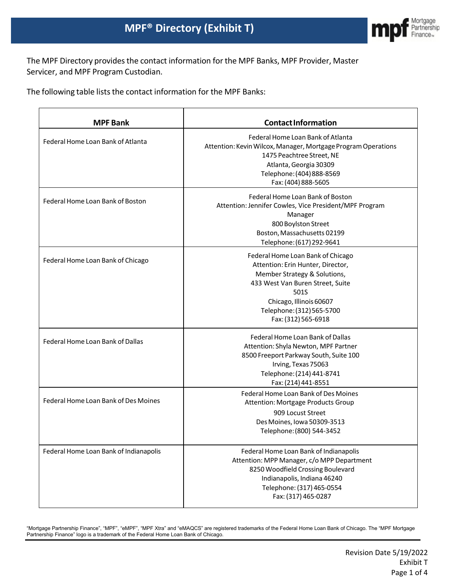

The MPF Directory provides the contact information for the MPF Banks, MPF Provider, Master Servicer, and MPF Program Custodian.

The following table lists the contact information for the MPF Banks:

| <b>MPF Bank</b>                        | <b>Contact Information</b>                                                                                                                                                                                                        |
|----------------------------------------|-----------------------------------------------------------------------------------------------------------------------------------------------------------------------------------------------------------------------------------|
| Federal Home Loan Bank of Atlanta      | Federal Home Loan Bank of Atlanta<br>Attention: Kevin Wilcox, Manager, Mortgage Program Operations<br>1475 Peachtree Street, NE<br>Atlanta, Georgia 30309<br>Telephone: (404) 888-8569<br>Fax: (404) 888-5605                     |
| Federal Home Loan Bank of Boston       | Federal Home Loan Bank of Boston<br>Attention: Jennifer Cowles, Vice President/MPF Program<br>Manager<br>800 Boylston Street<br>Boston, Massachusetts 02199<br>Telephone: (617) 292-9641                                          |
| Federal Home Loan Bank of Chicago      | Federal Home Loan Bank of Chicago<br>Attention: Erin Hunter, Director,<br>Member Strategy & Solutions,<br>433 West Van Buren Street, Suite<br>501S<br>Chicago, Illinois 60607<br>Telephone: (312) 565-5700<br>Fax: (312) 565-6918 |
| Federal Home Loan Bank of Dallas       | Federal Home Loan Bank of Dallas<br>Attention: Shyla Newton, MPF Partner<br>8500 Freeport Parkway South, Suite 100<br>Irving, Texas 75063<br>Telephone: (214) 441-8741<br>Fax: (214) 441-8551                                     |
| Federal Home Loan Bank of Des Moines   | Federal Home Loan Bank of Des Moines<br>Attention: Mortgage Products Group<br>909 Locust Street<br>Des Moines, Iowa 50309-3513<br>Telephone: (800) 544-3452                                                                       |
| Federal Home Loan Bank of Indianapolis | Federal Home Loan Bank of Indianapolis<br>Attention: MPP Manager, c/o MPP Department<br>8250 Woodfield Crossing Boulevard<br>Indianapolis, Indiana 46240<br>Telephone: (317) 465-0554<br>Fax: (317) 465-0287                      |

"Mortgage Partnership Finance", "MPF", "eMPF", "MPF Xtra" and "eMAQCS" are registered trademarks of the Federal Home Loan Bank of Chicago. The "MPF Mortgage Partnership Finance" logo is a trademark of the Federal Home Loan Bank of Chicago.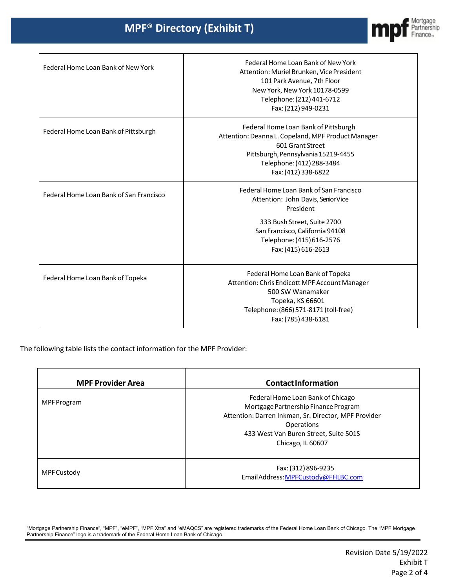

٦

| Federal Home Loan Bank of New York      | Federal Home Loan Bank of New York<br>Attention: Muriel Brunken, Vice President<br>101 Park Avenue, 7th Floor<br>New York, New York 10178-0599<br>Telephone: (212) 441-6712<br>Fax: (212) 949-0231               |
|-----------------------------------------|------------------------------------------------------------------------------------------------------------------------------------------------------------------------------------------------------------------|
| Federal Home Loan Bank of Pittsburgh    | Federal Home Loan Bank of Pittsburgh<br>Attention: Deanna L. Copeland, MPF Product Manager<br>601 Grant Street<br>Pittsburgh, Pennsylvania 15219-4455<br>Telephone: (412) 288-3484<br>Fax: (412) 338-6822        |
| Federal Home Loan Bank of San Francisco | Federal Home Loan Bank of San Francisco<br>Attention: John Davis, Senior Vice<br>President<br>333 Bush Street, Suite 2700<br>San Francisco, California 94108<br>Telephone: (415) 616-2576<br>Fax: (415) 616-2613 |
| Federal Home Loan Bank of Topeka        | Federal Home Loan Bank of Topeka<br>Attention: Chris Endicott MPF Account Manager<br>500 SW Wanamaker<br>Topeka, KS 66601<br>Telephone: (866) 571-8171 (toll-free)<br>Fax: (785) 438-6181                        |

The following table lists the contact information for the MPF Provider:

| <b>MPF Provider Area</b> | <b>Contact Information</b>                                                                                                                                                                                    |
|--------------------------|---------------------------------------------------------------------------------------------------------------------------------------------------------------------------------------------------------------|
| <b>MPF Program</b>       | Federal Home Loan Bank of Chicago<br>Mortgage Partnership Finance Program<br>Attention: Darren Inkman, Sr. Director, MPF Provider<br>Operations<br>433 West Van Buren Street, Suite 501S<br>Chicago, IL 60607 |
| MPF Custody              | Fax: (312) 896-9235<br>EmailAddress: MPFCustody@FHLBC.com                                                                                                                                                     |

"Mortgage Partnership Finance", "MPF", "eMPF", "MPF Xtra" and "eMAQCS" are registered trademarks of the Federal Home Loan Bank of Chicago. The "MPF Mortgage Partnership Finance" logo is a trademark of the Federal Home Loan Bank of Chicago.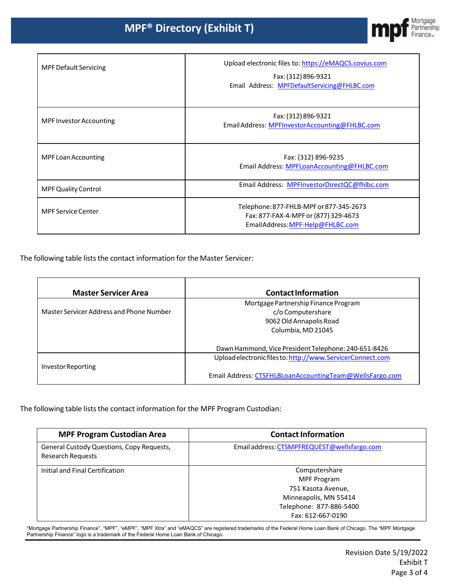

| <b>MPF Default Servicing</b>   | Upload electronic files to: https://eMAQCS.covius.com<br>Fax: (312) 896-9321<br>Email Address: MPFDefaultServicing@FHLBC.com |
|--------------------------------|------------------------------------------------------------------------------------------------------------------------------|
| <b>MPF Investor Accounting</b> | Fax: (312) 896-9321<br>Email Address: MPFInvestorAccounting@FHLBC.com                                                        |
| <b>MPF Loan Accounting</b>     | Fax: (312) 896-9235<br>Email Address: MPFLoanAccounting@FHLBC.com                                                            |
| <b>MPF Quality Control</b>     | Email Address: MPFInvestorDirectQC@fhlbc.com                                                                                 |
| <b>MPF Service Center</b>      | Telephone: 877-FHLB-MPF or 877-345-2673<br>Fax: 877-FAX-4-MPF or (877) 329-4673<br>EmailAddress: MPF-Help@FHLBC.com          |

The following table lists the contact information for the Master Servicer:

 $\Gamma$ 

| <b>Master Servicer Area</b>              | <b>Contact Information</b>                                 |
|------------------------------------------|------------------------------------------------------------|
|                                          | Mortgage Partnership Finance Program                       |
| Master Servicer Address and Phone Number | c/o Computershare                                          |
|                                          | 9062 Old Annapolis Road                                    |
|                                          | Columbia, MD 21045                                         |
|                                          |                                                            |
|                                          | Dawn Hammond, Vice President Telephone: 240-651-8426       |
|                                          | Upload electronic files to: http://www.ServicerConnect.com |
| Investor Reporting                       |                                                            |
|                                          | Email Address: CTSFHLBLoanAccountingTeam@WellsFargo.com    |

The following table lists the contact information for the MPF Program Custodian:

| <b>MPF Program Custodian Area</b>                                     | <b>Contact Information</b>                  |
|-----------------------------------------------------------------------|---------------------------------------------|
| General Custody Questions, Copy Requests,<br><b>Research Requests</b> | Email address: CTSMPFREQUEST@wellsfargo.com |
| Initial and Final Certification                                       | Computershare<br>MPF Program                |
|                                                                       | 751 Kasota Avenue,                          |
|                                                                       | Minneapolis, MN 55414                       |
|                                                                       | Telephone: 877-886-5400                     |
|                                                                       | Fax: 612-667-0190                           |

"Mortgage Partnership Finance", "MPF", "eMPF", "MPF Xtra" and "eMAQCS" are registered trademarks of the Federal Home Loan Bank of Chicago. The "MPF Mortgage Partnership Finance" logo is a trademark of the Federal Home Loan Bank of Chicago.